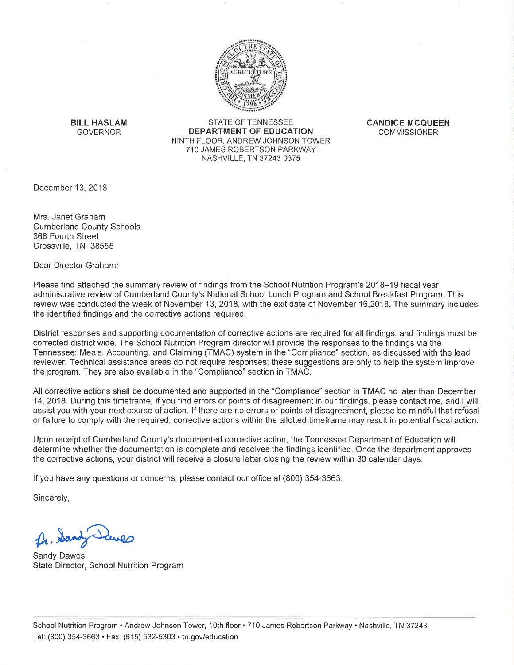

**BILL HASLAM GOVERNOR** 

STATE OF TENNESSEE **DEPARTMENT OF EDUCATION** NINTH FLOOR, ANDREW JOHNSON TOWER 710 JAMES ROBERTSON PARKWAY NASHVILLE, TN 37243-0375

**CANDICE MCOUEEN COMMISSIONER** 

December 13, 2018

Mrs. Janet Graham **Cumberland County Schools** 368 Fourth Street Crossville, TN 38555

Dear Director Graham:

Please find attached the summary review of findings from the School Nutrition Program's 2018-19 fiscal year administrative review of Cumberland County's National School Lunch Program and School Breakfast Program. This review was conducted the week of November 13, 2018, with the exit date of November 16,2018. The summary includes the identified findings and the corrective actions required.

District responses and supporting documentation of corrective actions are required for all findings, and findings must be corrected district wide. The School Nutrition Program director will provide the responses to the findings via the Tennessee: Meals, Accounting, and Claiming (TMAC) system in the "Compliance" section, as discussed with the lead reviewer. Technical assistance areas do not require responses; these suggestions are only to help the system improve the program. They are also available in the "Compliance" section in TMAC.

All corrective actions shall be documented and supported in the "Compliance" section in TMAC no later than December 14, 2018. During this timeframe, if you find errors or points of disagreement in our findings, please contact me, and I will assist you with your next course of action. If there are no errors or points of disagreement, please be mindful that refusal or failure to comply with the required, corrective actions within the allotted timeframe may result in potential fiscal action.

Upon receipt of Cumberland County's documented corrective action, the Tennessee Department of Education will determine whether the documentation is complete and resolves the findings identified. Once the department approves the corrective actions, your district will receive a closure letter closing the review within 30 calendar days.

If you have any questions or concerns, please contact our office at (800) 354-3663.

Sincerely,

Dr. Sand

Sandy Dawes State Director, School Nutrition Program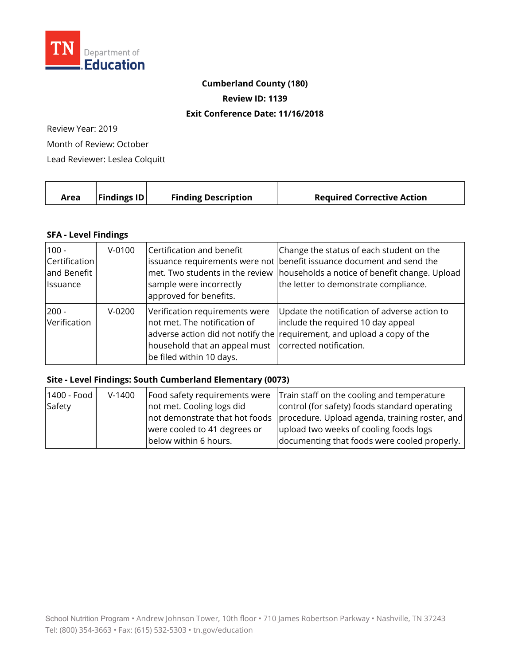

### **Cumberland County (180)**

**Review ID: 1139** 

#### **Exit Conference Date: 11/16/2018**

Review Year: 2019

Month of Review: October

Lead Reviewer: Leslea Colquitt

| Area | $\vert$ Findings ID $\vert$ | <b>Finding Description</b> | <b>Required Corrective Action</b> |
|------|-----------------------------|----------------------------|-----------------------------------|
|      |                             |                            |                                   |

### **SFA - Level Findings**

| $100 -$<br>Certification<br>and Benefit<br><i><b>Issuance</b></i> | $V-0100$ | Certification and benefit<br>sample were incorrectly<br>approved for benefits.                                                                      | Change the status of each student on the<br>issuance requirements were not benefit issuance document and send the<br>met. Two students in the review households a notice of benefit change. Upload<br>the letter to demonstrate compliance. |
|-------------------------------------------------------------------|----------|-----------------------------------------------------------------------------------------------------------------------------------------------------|---------------------------------------------------------------------------------------------------------------------------------------------------------------------------------------------------------------------------------------------|
| $200 -$<br>Verification                                           | $V-0200$ | Verification requirements were<br>not met. The notification of<br>household that an appeal must corrected notification.<br>be filed within 10 days. | Update the notification of adverse action to<br>include the required 10 day appeal<br>adverse action did not notify the requirement, and upload a copy of the                                                                               |

# **Site - Level Findings: South Cumberland Elementary (0073)**

| 1400 - Food | $V-1400$ |                              | Food safety requirements were Train staff on the cooling and temperature      |
|-------------|----------|------------------------------|-------------------------------------------------------------------------------|
| Safety      |          | not met. Cooling logs did    | control (for safety) foods standard operating                                 |
|             |          |                              | not demonstrate that hot foods procedure. Upload agenda, training roster, and |
|             |          | were cooled to 41 degrees or | upload two weeks of cooling foods logs                                        |
|             |          | below within 6 hours.        | documenting that foods were cooled properly.                                  |